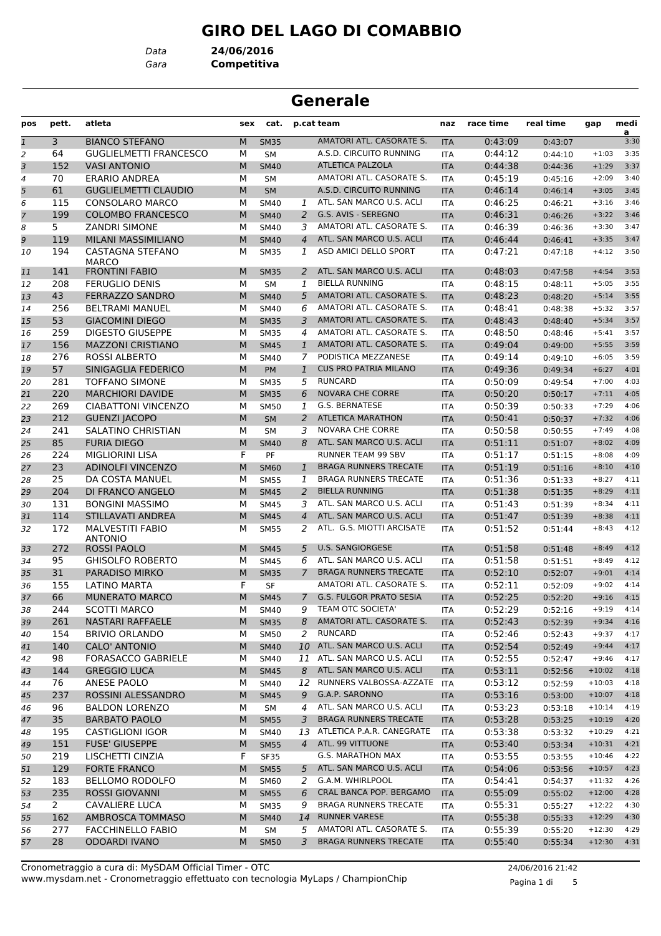# **GIRO DEL LAGO DI COMABBIO**

*Data* **24/06/2016**

*Gara* **Competitiva**

# **Generale**

| pos            | pett.          | atleta                                    | sex | cat.        |                | p.cat team                     | naz        | race time | real time | gap      | medi<br>a |
|----------------|----------------|-------------------------------------------|-----|-------------|----------------|--------------------------------|------------|-----------|-----------|----------|-----------|
| $\mathbf{1}$   | 3              | <b>BIANCO STEFANO</b>                     | M   | <b>SM35</b> |                | AMATORI ATL. CASORATE S.       | <b>ITA</b> | 0:43:09   | 0:43:07   |          | 3:30      |
| 2              | 64             | <b>GUGLIELMETTI FRANCESCO</b>             | М   | <b>SM</b>   |                | A.S.D. CIRCUITO RUNNING        | ITA        | 0:44:12   | 0:44:10   | $+1:03$  | 3:35      |
| 3              | 152            | <b>VASI ANTONIO</b>                       | M   | <b>SM40</b> |                | <b>ATLETICA PALZOLA</b>        | <b>ITA</b> | 0:44:38   | 0:44:36   | $+1:29$  | 3:37      |
| $\overline{4}$ | 70             | <b>ERARIO ANDREA</b>                      | М   | <b>SM</b>   |                | AMATORI ATL. CASORATE S.       | <b>ITA</b> | 0:45:19   | 0:45:16   | $+2:09$  | 3:40      |
| 5              | 61             | <b>GUGLIELMETTI CLAUDIO</b>               | M   | <b>SM</b>   |                | A.S.D. CIRCUITO RUNNING        | <b>ITA</b> | 0:46:14   | 0:46:14   | $+3:05$  | 3:45      |
| 6              | 115            | <b>CONSOLARO MARCO</b>                    | м   | SM40        | 1              | ATL. SAN MARCO U.S. ACLI       | ITA        | 0:46:25   | 0:46:21   | $+3:16$  | 3:46      |
| 7              | 199            | <b>COLOMBO FRANCESCO</b>                  | M   | <b>SM40</b> | 2              | G.S. AVIS - SEREGNO            | <b>ITA</b> | 0:46:31   | 0:46:26   | $+3:22$  | 3:46      |
| 8              | 5              | <b>ZANDRI SIMONE</b>                      | м   | <b>SM40</b> | 3              | AMATORI ATL. CASORATE S.       | ITA        | 0:46:39   | 0:46:36   | $+3:30$  | 3:47      |
| 9              | 119            | MILANI MASSIMILIANO                       | M   | <b>SM40</b> | $\overline{4}$ | ATL. SAN MARCO U.S. ACLI       | <b>ITA</b> | 0:46:44   | 0:46:41   | $+3:35$  | 3:47      |
| 10             | 194            | <b>CASTAGNA STEFANO</b><br><b>MARCO</b>   | М   | <b>SM35</b> | 1              | ASD AMICI DELLO SPORT          | ITA        | 0:47:21   | 0:47:18   | $+4:12$  | 3:50      |
| 11             | 141            | <b>FRONTINI FABIO</b>                     | M   | <b>SM35</b> | 2              | ATL. SAN MARCO U.S. ACLI       | <b>ITA</b> | 0:48:03   | 0:47:58   | $+4:54$  | 3:53      |
| 12             | 208            | <b>FERUGLIO DENIS</b>                     | М   | SM          | 1              | <b>BIELLA RUNNING</b>          | ITA        | 0:48:15   | 0:48:11   | $+5:05$  | 3:55      |
| 13             | 43             | <b>FERRAZZO SANDRO</b>                    | M   | <b>SM40</b> | 5              | AMATORI ATL. CASORATE S.       | <b>ITA</b> | 0:48:23   | 0:48:20   | $+5:14$  | 3:55      |
| 14             | 256            | <b>BELTRAMI MANUEL</b>                    | М   | SM40        | 6              | AMATORI ATL. CASORATE S.       | <b>ITA</b> | 0:48:41   | 0:48:38   | $+5:32$  | 3:57      |
| 15             | 53             | <b>GIACOMINI DIEGO</b>                    | M   | <b>SM35</b> | 3              | AMATORI ATL. CASORATE S.       | <b>ITA</b> | 0:48:43   | 0:48:40   | $+5:34$  | 3:57      |
| 16             | 259            | <b>DIGESTO GIUSEPPE</b>                   | М   | <b>SM35</b> | 4              | AMATORI ATL. CASORATE S.       | <b>ITA</b> | 0:48:50   | 0:48:46   | $+5:41$  | 3:57      |
| 17             | 156            | <b>MAZZONI CRISTIANO</b>                  | M   | <b>SM45</b> | $\mathbf{1}$   | AMATORI ATL. CASORATE S.       | <b>ITA</b> | 0:49:04   | 0:49:00   | $+5:55$  | 3:59      |
| 18             | 276            | <b>ROSSI ALBERTO</b>                      | М   | SM40        | 7              | PODISTICA MEZZANESE            | ITA        | 0:49:14   | 0:49:10   | $+6:05$  | 3:59      |
| 19             | 57             | SINIGAGLIA FEDERICO                       | M   | <b>PM</b>   | $\mathbf{1}$   | <b>CUS PRO PATRIA MILANO</b>   | <b>ITA</b> | 0:49:36   | 0:49:34   | $+6:27$  | 4:01      |
| 20             | 281            | <b>TOFFANO SIMONE</b>                     | М   | <b>SM35</b> | 5              | <b>RUNCARD</b>                 | <b>ITA</b> | 0:50:09   | 0:49:54   | $+7:00$  | 4:03      |
| 21             | 220            | <b>MARCHIORI DAVIDE</b>                   | M   | <b>SM35</b> | 6              | <b>NOVARA CHE CORRE</b>        | <b>ITA</b> | 0:50:20   | 0:50:17   | $+7:11$  | 4:05      |
| 22             | 269            | <b>CIABATTONI VINCENZO</b>                | М   | <b>SM50</b> | 1              | <b>G.S. BERNATESE</b>          | ITA        | 0:50:39   | 0:50:33   | $+7:29$  | 4:06      |
| 23             | 212            | <b>GUENZI JACOPO</b>                      | M   | <b>SM</b>   | 2              | <b>ATLETICA MARATHON</b>       | <b>ITA</b> | 0:50:41   | 0:50:37   | $+7:32$  | 4:06      |
| 24             | 241            | SALATINO CHRISTIAN                        | М   | <b>SM</b>   | 3              | <b>NOVARA CHE CORRE</b>        | <b>ITA</b> | 0:50:58   | 0:50:55   | $+7:49$  | 4:08      |
| 25             | 85             | <b>FURIA DIEGO</b>                        | M   | <b>SM40</b> | 8              | ATL. SAN MARCO U.S. ACLI       | <b>ITA</b> | 0:51:11   | 0:51:07   | $+8:02$  | 4:09      |
| 26             | 224            | <b>MIGLIORINI LISA</b>                    | F   | PF          |                | RUNNER TEAM 99 SBV             | <b>ITA</b> | 0:51:17   | 0:51:15   | $+8:08$  | 4:09      |
| 27             | 23             | <b>ADINOLFI VINCENZO</b>                  | M   | <b>SM60</b> | $\mathbf{1}$   | <b>BRAGA RUNNERS TRECATE</b>   | <b>ITA</b> | 0:51:19   | 0:51:16   | $+8:10$  | 4:10      |
| 28             | 25             | DA COSTA MANUEL                           | М   | <b>SM55</b> | 1              | <b>BRAGA RUNNERS TRECATE</b>   | <b>ITA</b> | 0:51:36   | 0:51:33   | $+8:27$  | 4:11      |
| 29             | 204            | DI FRANCO ANGELO                          | M   | <b>SM45</b> | 2              | <b>BIELLA RUNNING</b>          | <b>ITA</b> | 0:51:38   | 0:51:35   | $+8:29$  | 4:11      |
| 30             | 131            | <b>BONGINI MASSIMO</b>                    | М   | <b>SM45</b> | 3              | ATL. SAN MARCO U.S. ACLI       | ITA        | 0:51:43   | 0:51:39   | $+8:34$  | 4:11      |
| 31             | 114            | STILLAVATI ANDREA                         | M   | <b>SM45</b> | $\overline{4}$ | ATL. SAN MARCO U.S. ACLI       | <b>ITA</b> | 0:51:47   | 0:51:39   | $+8:38$  | 4:11      |
| 32             | 172            | <b>MALVESTITI FABIO</b><br><b>ANTONIO</b> | М   | <b>SM55</b> | 2              | ATL. G.S. MIOTTI ARCISATE      | ITA        | 0:51:52   | 0:51:44   | $+8:43$  | 4:12      |
| 33             | 272            | <b>ROSSI PAOLO</b>                        | M   | <b>SM45</b> | 5              | <b>U.S. SANGIORGESE</b>        | <b>ITA</b> | 0:51:58   | 0:51:48   | $+8:49$  | 4:12      |
| 34             | 95             | <b>GHISOLFO ROBERTO</b>                   | м   | <b>SM45</b> | 6              | ATL. SAN MARCO U.S. ACLI       | ITA        | 0:51:58   | 0:51:51   | $+8:49$  | 4:12      |
| 35             | 31             | PARADISO MIRKO                            | M   | <b>SM35</b> | $\overline{7}$ | <b>BRAGA RUNNERS TRECATE</b>   | <b>ITA</b> | 0:52:10   | 0:52:07   | $+9:01$  | 4:14      |
| 36             | 155            | LATINO MARTA                              | F   | <b>SF</b>   |                | AMATORI ATL. CASORATE S.       | ITA        | 0:52:11   | 0:52:09   | $+9:02$  | 4:14      |
| 37             | 66             | <b>MUNERATO MARCO</b>                     | M   | <b>SM45</b> | $\overline{7}$ | <b>G.S. FULGOR PRATO SESIA</b> | <b>ITA</b> | 0:52:25   | 0:52:20   | $+9:16$  | 4:15      |
| 38             | 244            | <b>SCOTTI MARCO</b>                       | М   | SM40        | 9              | TEAM OTC SOCIETA'              | <b>ITA</b> | 0:52:29   | 0:52:16   | $+9:19$  | 4:14      |
| 39             | 261            | <b>NASTARI RAFFAELE</b>                   | M   | <b>SM35</b> |                | 8 AMATORI ATL. CASORATE S.     | <b>ITA</b> | 0:52:43   | 0:52:39   | $+9:34$  | 4:16      |
| 40             | 154            | <b>BRIVIO ORLANDO</b>                     | м   | <b>SM50</b> | 2              | <b>RUNCARD</b>                 | ITA        | 0:52:46   | 0:52:43   | $+9:37$  | 4:17      |
| 41             | 140            | CALO' ANTONIO                             | M   | <b>SM40</b> |                | 10 ATL. SAN MARCO U.S. ACLI    | <b>ITA</b> | 0:52:54   | 0:52:49   | $+9:44$  | 4:17      |
| 42             | 98             | <b>FORASACCO GABRIELE</b>                 | м   | <b>SM40</b> |                | 11 ATL. SAN MARCO U.S. ACLI    | ITA        | 0:52:55   | 0:52:47   | $+9:46$  | 4:17      |
| 43             | 144            | <b>GREGGIO LUCA</b>                       | M   | <b>SM45</b> | 8              | ATL. SAN MARCO U.S. ACLI       | <b>ITA</b> | 0:53:11   | 0:52:56   | $+10:02$ | 4:18      |
| 44             | 76             | ANESE PAOLO                               | м   | SM40        | 12             | RUNNERS VALBOSSA-AZZATE        | <b>ITA</b> | 0:53:12   | 0:52:59   | $+10:03$ | 4:18      |
| 45             | 237            | ROSSINI ALESSANDRO                        | M   | <b>SM45</b> | 9              | G.A.P. SARONNO                 | <b>ITA</b> | 0:53:16   | 0:53:00   | $+10:07$ | 4:18      |
| 46             | 96             | <b>BALDON LORENZO</b>                     | м   | SM          | 4              | ATL. SAN MARCO U.S. ACLI       | ITA        | 0:53:23   | 0:53:18   | $+10:14$ | 4:19      |
| 47             | 35             | <b>BARBATO PAOLO</b>                      | M   | <b>SM55</b> | 3              | <b>BRAGA RUNNERS TRECATE</b>   | <b>ITA</b> | 0:53:28   | 0:53:25   | $+10:19$ | 4:20      |
| 48             | 195            | <b>CASTIGLIONI IGOR</b>                   | М   | SM40        |                | 13 ATLETICA P.A.R. CANEGRATE   | ITA        | 0:53:38   | 0:53:32   | $+10:29$ | 4:21      |
| 49             | 151            | <b>FUSE' GIUSEPPE</b>                     | M   | <b>SM55</b> | $\overline{4}$ | ATL. 99 VITTUONE               | <b>ITA</b> | 0:53:40   | 0:53:34   | $+10:31$ | 4:21      |
| 50             | 219            | LISCHETTI CINZIA                          | F.  | <b>SF35</b> |                | G.S. MARATHON MAX              | ITA        | 0:53:55   | 0:53:55   | $+10:46$ | 4:22      |
| 51             | 129            | <b>FORTE FRANCO</b>                       | M   | <b>SM55</b> | 5              | ATL. SAN MARCO U.S. ACLI       | <b>ITA</b> | 0:54:06   | 0:53:56   | $+10:57$ | 4:23      |
| 52             | 183            | <b>BELLOMO RODOLFO</b>                    | м   | <b>SM60</b> | 2              | G.A.M. WHIRLPOOL               | ITA        | 0:54:41   | 0:54:37   | $+11:32$ | 4:26      |
| 53             | 235            | <b>ROSSI GIOVANNI</b>                     | M   | <b>SM55</b> | 6              | CRAL BANCA POP. BERGAMO        | <b>ITA</b> | 0:55:09   | 0:55:02   | $+12:00$ | 4:28      |
|                | $\overline{2}$ | <b>CAVALIERE LUCA</b>                     | М   | <b>SM35</b> | 9              | <b>BRAGA RUNNERS TRECATE</b>   | ITA        | 0:55:31   | 0:55:27   | $+12:22$ | 4:30      |
| 54             | 162            | AMBROSCA TOMMASO                          | M   | <b>SM40</b> | 14             | RUNNER VARESE                  | <b>ITA</b> | 0:55:38   | 0:55:33   | $+12:29$ | 4:30      |
| 55             | 277            | <b>FACCHINELLO FABIO</b>                  | М   | SM          | 5              | AMATORI ATL. CASORATE S.       | ITA        | 0:55:39   | 0:55:20   | $+12:30$ | 4:29      |
| 56<br>57       | 28             | <b>ODOARDI IVANO</b>                      | M   | <b>SM50</b> | 3              | <b>BRAGA RUNNERS TRECATE</b>   | <b>ITA</b> | 0:55:40   |           | $+12:30$ | 4:31      |
|                |                |                                           |     |             |                |                                |            |           | 0:55:34   |          |           |

www.mysdam.net - Cronometraggio effettuato con tecnologia MyLaps / ChampionChip Cronometraggio a cura di: MySDAM Official Timer - OTC 24/06/2016 21:42

Pagina 1 di 5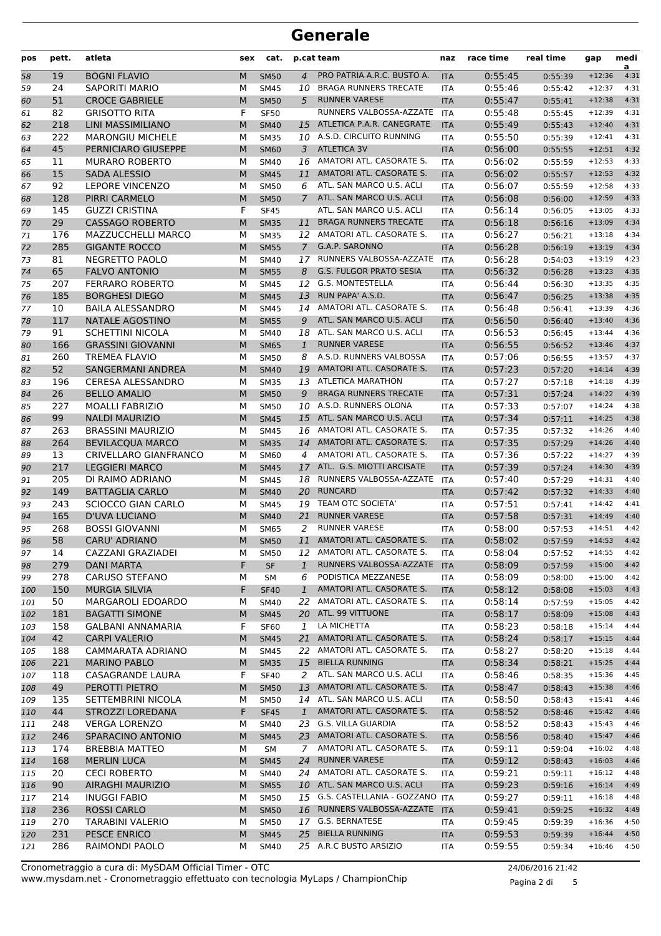| pos | pett. | atleta                       | sex | cat.        |                | p.cat team                        | naz        | race time | real time | gap      | medi<br>a |
|-----|-------|------------------------------|-----|-------------|----------------|-----------------------------------|------------|-----------|-----------|----------|-----------|
| 58  | 19    | <b>BOGNI FLAVIO</b>          | M   | <b>SM50</b> | $\overline{4}$ | PRO PATRIA A.R.C. BUSTO A.        | <b>ITA</b> | 0:55:45   | 0:55:39   | $+12:36$ | 4:31      |
| 59  | 24    | <b>SAPORITI MARIO</b>        | М   | <b>SM45</b> | 10             | <b>BRAGA RUNNERS TRECATE</b>      | <b>ITA</b> | 0:55:46   | 0:55:42   | $+12:37$ | 4:31      |
| 60  | 51    | <b>CROCE GABRIELE</b>        | M   | <b>SM50</b> | 5              | <b>RUNNER VARESE</b>              | <b>ITA</b> | 0:55:47   | 0:55:41   | $+12:38$ | 4:31      |
| 61  | 82    | <b>GRISOTTO RITA</b>         | F   | <b>SF50</b> |                | RUNNERS VALBOSSA-AZZATE           | <b>ITA</b> | 0:55:48   | 0:55:45   | $+12:39$ | 4:31      |
| 62  | 218   | LINI MASSIMILIANO            | M   | <b>SM40</b> | 15             | ATLETICA P.A.R. CANEGRATE         | <b>ITA</b> | 0:55:49   | 0:55:43   | $+12:40$ | 4:31      |
| 63  | 222   | <b>MARONGIU MICHELE</b>      | М   | <b>SM35</b> |                | 10 A.S.D. CIRCUITO RUNNING        | <b>ITA</b> | 0:55:50   | 0:55:39   | $+12:41$ | 4:31      |
| 64  | 45    | PERNICIARO GIUSEPPE          | M   | <b>SM60</b> | 3              | <b>ATLETICA 3V</b>                | <b>ITA</b> | 0:56:00   | 0:55:55   | $+12:51$ | 4:32      |
| 65  | 11    | <b>MURARO ROBERTO</b>        | М   | <b>SM40</b> | 16             | AMATORI ATL. CASORATE S.          | <b>ITA</b> | 0:56:02   | 0:55:59   | $+12:53$ | 4:33      |
| 66  | 15    | <b>SADA ALESSIO</b>          | M   | <b>SM45</b> | 11             | AMATORI ATL. CASORATE S.          | <b>ITA</b> | 0:56:02   | 0:55:57   | $+12:53$ | 4:32      |
| 67  | 92    | <b>LEPORE VINCENZO</b>       | M   | <b>SM50</b> | 6              | ATL. SAN MARCO U.S. ACLI          | <b>ITA</b> | 0:56:07   | 0:55:59   | $+12:58$ | 4:33      |
| 68  | 128   | PIRRI CARMELO                | M   | <b>SM50</b> | $\overline{7}$ | ATL. SAN MARCO U.S. ACLI          | <b>ITA</b> | 0:56:08   | 0:56:00   | $+12:59$ | 4:33      |
| 69  | 145   | <b>GUZZI CRISTINA</b>        | F   | <b>SF45</b> |                | ATL. SAN MARCO U.S. ACLI          | <b>ITA</b> | 0:56:14   | 0:56:05   | $+13:05$ | 4:33      |
| 70  | 29    | <b>CASSAGO ROBERTO</b>       | M   | <b>SM35</b> | 11             | <b>BRAGA RUNNERS TRECATE</b>      | <b>ITA</b> | 0:56:18   | 0:56:16   | $+13:09$ | 4:34      |
| 71  | 176   | <b>MAZZUCCHELLI MARCO</b>    | М   | <b>SM35</b> |                | 12 AMATORI ATL. CASORATE S.       | <b>ITA</b> | 0:56:27   | 0:56:21   | $+13:18$ | 4:34      |
| 72  | 285   | <b>GIGANTE ROCCO</b>         | M   | <b>SM55</b> | $\mathcal{I}$  | G.A.P. SARONNO                    | <b>ITA</b> | 0:56:28   | 0:56:19   | $+13:19$ | 4:34      |
| 73  | 81    | NEGRETTO PAOLO               | М   | <b>SM40</b> | 17             | RUNNERS VALBOSSA-AZZATE           | <b>ITA</b> | 0:56:28   | 0:54:03   | $+13:19$ | 4:23      |
| 74  | 65    | <b>FALVO ANTONIO</b>         | M   | <b>SM55</b> | 8              | <b>G.S. FULGOR PRATO SESIA</b>    | <b>ITA</b> | 0:56:32   | 0:56:28   | $+13:23$ | 4:35      |
| 75  | 207   | <b>FERRARO ROBERTO</b>       | М   | <b>SM45</b> | 12             | <b>G.S. MONTESTELLA</b>           | <b>ITA</b> | 0:56:44   | 0:56:30   | $+13:35$ | 4:35      |
| 76  | 185   | <b>BORGHESI DIEGO</b>        | M   | <b>SM45</b> | 13             | RUN PAPA' A.S.D.                  | <b>ITA</b> | 0:56:47   | 0:56:25   | $+13:38$ | 4:35      |
| 77  | 10    | <b>BAILA ALESSANDRO</b>      | М   | <b>SM45</b> | 14             | AMATORI ATL. CASORATE S.          | <b>ITA</b> | 0:56:48   | 0:56:41   | $+13:39$ | 4:36      |
| 78  | 117   | <b>NATALE AGOSTINO</b>       | M   | <b>SM55</b> | 9              | ATL. SAN MARCO U.S. ACLI          | <b>ITA</b> | 0:56:50   | 0:56:40   | $+13:40$ | 4:36      |
| 79  | 91    | <b>SCHETTINI NICOLA</b>      | M   | <b>SM40</b> | 18             | ATL. SAN MARCO U.S. ACLI          | <b>ITA</b> | 0:56:53   | 0:56:45   | $+13:44$ | 4:36      |
| 80  | 166   | <b>GRASSINI GIOVANNI</b>     | M   | <b>SM65</b> | $\mathbf{1}$   | <b>RUNNER VARESE</b>              | <b>ITA</b> | 0:56:55   | 0:56:52   | $+13:46$ | 4:37      |
| 81  | 260   | <b>TREMEA FLAVIO</b>         | М   | <b>SM50</b> | 8              | A.S.D. RUNNERS VALBOSSA           | <b>ITA</b> | 0:57:06   | 0:56:55   | $+13:57$ | 4:37      |
| 82  | 52    | <b>SANGERMANI ANDREA</b>     | M   | <b>SM40</b> | 19             | AMATORI ATL. CASORATE S.          | <b>ITA</b> | 0:57:23   | 0:57:20   | $+14:14$ | 4:39      |
| 83  | 196   | <b>CERESA ALESSANDRO</b>     | М   | <b>SM35</b> | 13             | <b>ATLETICA MARATHON</b>          | <b>ITA</b> | 0:57:27   | 0:57:18   | $+14:18$ | 4:39      |
| 84  | 26    | <b>BELLO AMALIO</b>          | M   | <b>SM50</b> | 9              | <b>BRAGA RUNNERS TRECATE</b>      | <b>ITA</b> | 0:57:31   | 0:57:24   | $+14:22$ | 4:39      |
| 85  | 227   | <b>MOALLI FABRIZIO</b>       | M   | <b>SM50</b> |                | 10 A.S.D. RUNNERS OLONA           | <b>ITA</b> | 0:57:33   | 0:57:07   | $+14:24$ | 4:38      |
| 86  | 99    | <b>NALDI MAURIZIO</b>        | M   | <b>SM45</b> | 15             | ATL. SAN MARCO U.S. ACLI          | <b>ITA</b> | 0:57:34   | 0:57:11   | $+14:25$ | 4:38      |
| 87  | 263   | <b>BRASSINI MAURIZIO</b>     | М   | <b>SM45</b> |                | 16 AMATORI ATL. CASORATE S.       | <b>ITA</b> | 0:57:35   | 0:57:32   | $+14:26$ | 4:40      |
| 88  | 264   | <b>BEVILACQUA MARCO</b>      | M   | <b>SM35</b> | 14             | AMATORI ATL. CASORATE S.          | <b>ITA</b> | 0:57:35   | 0:57:29   | $+14:26$ | 4:40      |
| 89  | 13    | <b>CRIVELLARO GIANFRANCO</b> | М   | SM60        | 4              | AMATORI ATL. CASORATE S.          | <b>ITA</b> | 0:57:36   | 0:57:22   | $+14:27$ | 4:39      |
| 90  | 217   | <b>LEGGIERI MARCO</b>        | M   | <b>SM45</b> | 17             | ATL. G.S. MIOTTI ARCISATE         | <b>ITA</b> | 0:57:39   | 0:57:24   | $+14:30$ | 4:39      |
| 91  | 205   | DI RAIMO ADRIANO             | M   | <b>SM45</b> | 18             | RUNNERS VALBOSSA-AZZATE           | <b>ITA</b> | 0:57:40   | 0:57:29   | $+14:31$ | 4:40      |
| 92  | 149   | <b>BATTAGLIA CARLO</b>       | M   | <b>SM40</b> | 20             | <b>RUNCARD</b>                    | <b>ITA</b> | 0:57:42   | 0:57:32   | $+14:33$ | 4:40      |
| 93  | 243   | <b>SCIOCCO GIAN CARLO</b>    | м   | <b>SM45</b> | 19             | <b>TEAM OTC SOCIETA'</b>          | <b>ITA</b> | 0:57:51   | 0:57:41   | $+14:42$ | 4:41      |
| 94  | 165   | D'UVA LUCIANO                | M   | <b>SM40</b> | 21             | <b>RUNNER VARESE</b>              | <b>ITA</b> | 0:57:58   | 0:57:31   | $+14:49$ | 4:40      |
| 95  | 268   | <b>BOSSI GIOVANNI</b>        | М   | <b>SM65</b> | 2              | <b>RUNNER VARESE</b>              | <b>ITA</b> | 0:58:00   | 0:57:53   | $+14:51$ | 4:42      |
| 96  | 58    | <b>CARU' ADRIANO</b>         | M   | <b>SM50</b> | 11             | AMATORI ATL. CASORATE S.          | <b>ITA</b> | 0:58:02   | 0:57:59   | $+14:53$ | 4:42      |
| 97  | 14    | CAZZANI GRAZIADEI            | М   | <b>SM50</b> |                | 12 AMATORI ATL. CASORATE S.       | ITA        | 0:58:04   | 0:57:52   | $+14:55$ | 4:42      |
| 98  | 279   | <b>DANI MARTA</b>            | F   | <b>SF</b>   | $\mathbf{1}$   | RUNNERS VALBOSSA-AZZATE           | <b>ITA</b> | 0:58:09   | 0:57:59   | $+15:00$ | 4:42      |
| 99  | 278   | CARUSO STEFANO               | м   | SM          | 6              | PODISTICA MEZZANESE               | ITA        | 0:58:09   | 0:58:00   | $+15:00$ | 4:42      |
| 100 | 150   | <b>MURGIA SILVIA</b>         | F   | <b>SF40</b> | $\mathbf{1}$   | AMATORI ATL. CASORATE S.          | <b>ITA</b> | 0:58:12   | 0:58:08   | $+15:03$ | 4:43      |
| 101 | 50    | MARGAROLI EDOARDO            | м   | SM40        |                | 22 AMATORI ATL. CASORATE S.       | ITA        | 0:58:14   | 0:57:59   | $+15:05$ | 4:42      |
| 102 | 181   | <b>BAGATTI SIMONE</b>        | M   | <b>SM45</b> |                | 20 ATL. 99 VITTUONE               | <b>ITA</b> | 0:58:17   | 0:58:09   | $+15:08$ | 4:43      |
| 103 | 158   | <b>GALBANI ANNAMARIA</b>     | F   | <b>SF60</b> | 1              | LA MICHETTA                       | ITA        | 0:58:23   | 0:58:18   | $+15:14$ | 4:44      |
| 104 | 42    | <b>CARPI VALERIO</b>         | M   | <b>SM45</b> | 21             | AMATORI ATL. CASORATE S.          | <b>ITA</b> | 0:58:24   | 0:58:17   | $+15:15$ | 4:44      |
| 105 | 188   | CAMMARATA ADRIANO            | м   | SM45        | 22             | AMATORI ATL. CASORATE S.          | <b>ITA</b> | 0:58:27   | 0:58:20   | $+15:18$ | 4:44      |
| 106 | 221   | <b>MARINO PABLO</b>          | M   | <b>SM35</b> |                | 15 BIELLA RUNNING                 | <b>ITA</b> | 0:58:34   | 0:58:21   | $+15:25$ | 4:44      |
| 107 | 118   | CASAGRANDE LAURA             | F   | <b>SF40</b> | 2              | ATL. SAN MARCO U.S. ACLI          | ITA        | 0:58:46   | 0:58:35   | $+15:36$ | 4:45      |
| 108 | 49    | PEROTTI PIETRO               | M   | <b>SM50</b> | 13             | AMATORI ATL. CASORATE S.          | <b>ITA</b> | 0:58:47   | 0:58:43   | $+15:38$ | 4:46      |
| 109 | 135   | SETTEMBRINI NICOLA           | М   | <b>SM50</b> |                | 14 ATL. SAN MARCO U.S. ACLI       | ITA        | 0:58:50   | 0:58:43   | $+15:41$ | 4:46      |
| 110 | 44    | STROZZI LOREDANA             | F   | <b>SF45</b> | $\mathbf{1}$   | AMATORI ATL. CASORATE S.          | <b>ITA</b> | 0:58:52   | 0:58:46   | $+15:42$ | 4:46      |
| 111 | 248   | <b>VERGA LORENZO</b>         | м   | SM40        |                | 23 G.S. VILLA GUARDIA             | ITA        | 0:58:52   | 0:58:43   | $+15:43$ | 4:46      |
| 112 | 246   | SPARACINO ANTONIO            | M   | <b>SM45</b> |                | 23 AMATORI ATL. CASORATE S.       | <b>ITA</b> | 0:58:56   | 0:58:40   | $+15:47$ | 4:46      |
| 113 | 174   | <b>BREBBIA MATTEO</b>        | м   | <b>SM</b>   | 7 <sup>7</sup> | AMATORI ATL. CASORATE S.          | ITA        | 0:59:11   | 0:59:04   | $+16:02$ | 4:48      |
| 114 | 168   | <b>MERLIN LUCA</b>           | M   | <b>SM45</b> | 24             | <b>RUNNER VARESE</b>              | <b>ITA</b> | 0:59:12   | 0:58:43   | $+16:03$ | 4:46      |
| 115 | 20    | <b>CECI ROBERTO</b>          | М   | SM40        |                | 24 AMATORI ATL. CASORATE S.       | ITA        | 0:59:21   | 0:59:11   | $+16:12$ | 4:48      |
| 116 | 90    | <b>AIRAGHI MAURIZIO</b>      | M   | <b>SM55</b> |                | 10 ATL. SAN MARCO U.S. ACLI       | <b>ITA</b> | 0:59:23   | 0:59:16   | $+16:14$ | 4:49      |
| 117 | 214   | <b>INUGGI FABIO</b>          | м   | <b>SM50</b> |                | 15 G.S. CASTELLANIA - GOZZANO ITA |            | 0:59:27   | 0:59:11   | $+16:18$ | 4:48      |
| 118 | 236   | <b>ROSSI CARLO</b>           | M   | <b>SM50</b> |                | 16 RUNNERS VALBOSSA-AZZATE        | <b>ITA</b> | 0:59:41   | 0:59:25   | $+16:32$ | 4:49      |
| 119 | 270   | <b>TARABINI VALERIO</b>      | М   | <b>SM50</b> |                | 17 G.S. BERNATESE                 | ITA        | 0:59:45   | 0:59:39   | $+16:36$ | 4:50      |
| 120 | 231   | PESCE ENRICO                 | M   | <b>SM45</b> | 25             | <b>BIELLA RUNNING</b>             | <b>ITA</b> | 0:59:53   | 0:59:39   | $+16:44$ | 4:50      |
| 121 | 286   | RAIMONDI PAOLO               | М   | SM40        |                | 25 A.R.C BUSTO ARSIZIO            | ITA        | 0:59:55   | 0:59:34   | $+16:46$ | 4:50      |

www.mysdam.net - Cronometraggio effettuato con tecnologia MyLaps / ChampionChip Cronometraggio a cura di: MySDAM Official Timer - OTC 24/06/2016 21:42

Pagina 2 di 5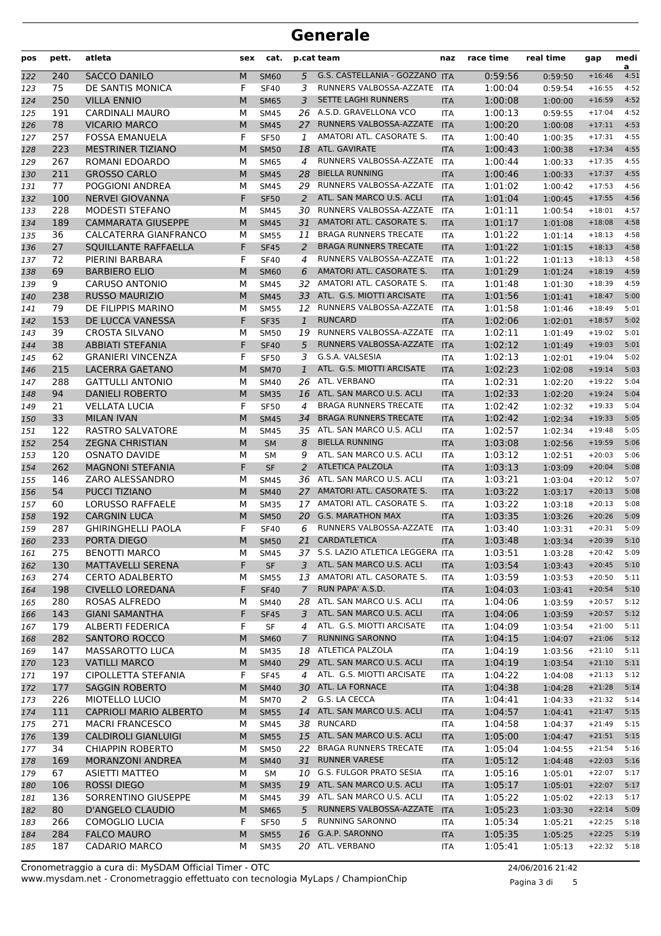| pos        | pett.      | atleta                                             | sex    | cat.                              |                | p.cat team                                              | naz               | race time          | real time          | gap                  | medi<br>a    |
|------------|------------|----------------------------------------------------|--------|-----------------------------------|----------------|---------------------------------------------------------|-------------------|--------------------|--------------------|----------------------|--------------|
| 122        | 240        | <b>SACCO DANILO</b>                                | M      | <b>SM60</b>                       | 5              | G.S. CASTELLANIA - GOZZANO ITA                          |                   | 0:59:56            | 0:59:50            | $+16:46$             | 4:51         |
| 123        | 75         | DE SANTIS MONICA                                   | F      | <b>SF40</b>                       | 3              | RUNNERS VALBOSSA-AZZATE                                 | ITA               | 1:00:04            | 0:59:54            | $+16:55$             | 4:52         |
| 124        | 250        | <b>VILLA ENNIO</b>                                 | M      | <b>SM65</b>                       | 3              | <b>SETTE LAGHI RUNNERS</b>                              | <b>ITA</b>        | 1:00:08            | 1:00:00            | $+16:59$             | 4:52         |
| 125        | 191        | <b>CARDINALI MAURO</b>                             | M      | <b>SM45</b>                       | 26             | A.S.D. GRAVELLONA VCO                                   | <b>ITA</b>        | 1:00:13            | 0:59:55            | $+17:04$             | 4:52         |
| 126        | 78         | <b>VICARIO MARCO</b>                               | M      | <b>SM45</b>                       | 27             | RUNNERS VALBOSSA-AZZATE                                 | <b>ITA</b>        | 1:00:20            | 1:00:08            | $+17:11$             | 4:53         |
| 127        | 257        | <b>FOSSA EMANUELA</b>                              | F      | <b>SF50</b>                       | 1              | AMATORI ATL. CASORATE S.                                | <b>ITA</b>        | 1:00:40            | 1:00:35            | $+17:31$             | 4:55         |
| 128        | 223        | MESTRINER TIZIANO                                  | M      | <b>SM50</b>                       | 18             | ATL. GAVIRATE                                           | <b>ITA</b>        | 1:00:43            | 1:00:38            | $+17:34$             | 4:55         |
| 129        | 267        | ROMANI EDOARDO                                     | М      | <b>SM65</b>                       | $\overline{4}$ | RUNNERS VALBOSSA-AZZATE                                 | <b>ITA</b>        | 1:00:44            | 1:00:33            | $+17:35$             | 4:55         |
| 130        | 211        | <b>GROSSO CARLO</b>                                | M      | <b>SM45</b>                       | 28             | <b>BIELLA RUNNING</b>                                   | <b>ITA</b>        | 1:00:46            | 1:00:33            | $+17:37$             | 4:55         |
| 131        | 77         | POGGIONI ANDREA                                    | M      | <b>SM45</b>                       | 29             | RUNNERS VALBOSSA-AZZATE                                 | <b>ITA</b>        | 1:01:02            | 1:00:42            | $+17:53$             | 4:56         |
| 132        | 100        | <b>NERVEI GIOVANNA</b>                             | F      | <b>SF50</b>                       | 2              | ATL. SAN MARCO U.S. ACLI                                | <b>ITA</b>        | 1:01:04            | 1:00:45            | $+17:55$             | 4:56         |
| 133        | 228        | <b>MODESTI STEFANO</b>                             | М      | <b>SM45</b>                       | 30             | RUNNERS VALBOSSA-AZZATE<br>AMATORI ATL. CASORATE S.     | <b>ITA</b>        | 1:01:11            | 1:00:54            | $+18:01$             | 4:57<br>4:58 |
| 134        | 189<br>36  | <b>CAMMARATA GIUSEPPE</b><br>CALCATERRA GIANFRANCO | M<br>М | <b>SM45</b>                       | 31<br>11       | <b>BRAGA RUNNERS TRECATE</b>                            | <b>ITA</b>        | 1:01:17            | 1:01:08            | $+18:08$             | 4:58         |
| 135        | 27         | SQUILLANTE RAFFAELLA                               | F      | <b>SM55</b><br><b>SF45</b>        | 2              | <b>BRAGA RUNNERS TRECATE</b>                            | ITA<br><b>ITA</b> | 1:01:22<br>1:01:22 | 1:01:14            | $+18:13$<br>$+18:13$ | 4:58         |
| 136<br>137 | 72         | PIERINI BARBARA                                    | F      | <b>SF40</b>                       | 4              | RUNNERS VALBOSSA-AZZATE                                 | <b>ITA</b>        | 1:01:22            | 1:01:15<br>1:01:13 | $+18:13$             | 4:58         |
| 138        | 69         | <b>BARBIERO ELIO</b>                               | M      | <b>SM60</b>                       | 6              | AMATORI ATL. CASORATE S.                                | <b>ITA</b>        | 1:01:29            | 1:01:24            | $+18:19$             | 4:59         |
| 139        | 9          | <b>CARUSO ANTONIO</b>                              | М      | <b>SM45</b>                       | 32             | AMATORI ATL. CASORATE S.                                | <b>ITA</b>        | 1:01:48            | 1:01:30            | $+18:39$             | 4:59         |
| 140        | 238        | <b>RUSSO MAURIZIO</b>                              | M      | <b>SM45</b>                       | 33             | ATL. G.S. MIOTTI ARCISATE                               | <b>ITA</b>        | 1:01:56            | 1:01:41            | $+18:47$             | 5:00         |
| 141        | 79         | DE FILIPPIS MARINO                                 | М      | <b>SM55</b>                       |                | 12 RUNNERS VALBOSSA-AZZATE                              | <b>ITA</b>        | 1:01:58            | 1:01:46            | $+18:49$             | 5:01         |
| 142        | 153        | DE LUCCA VANESSA                                   | F      | <b>SF35</b>                       | $\mathbf{1}$   | <b>RUNCARD</b>                                          | <b>ITA</b>        | 1:02:06            | 1:02:01            | $+18:57$             | 5:02         |
| 143        | 39         | <b>CROSTA SILVANO</b>                              | М      | <b>SM50</b>                       | 19             | RUNNERS VALBOSSA-AZZATE                                 | <b>ITA</b>        | 1:02:11            | 1:01:49            | $+19:02$             | 5:01         |
| 144        | 38         | <b>ABBIATI STEFANIA</b>                            | F      | <b>SF40</b>                       | 5              | RUNNERS VALBOSSA-AZZATE                                 | <b>ITA</b>        | 1:02:12            | 1:01:49            | $+19:03$             | 5:01         |
| 145        | 62         | <b>GRANIERI VINCENZA</b>                           | F      | <b>SF50</b>                       | 3              | G.S.A. VALSESIA                                         | <b>ITA</b>        | 1:02:13            | 1:02:01            | $+19:04$             | 5:02         |
| 146        | 215        | LACERRA GAETANO                                    | M      | <b>SM70</b>                       | $\mathbf{1}$   | ATL. G.S. MIOTTI ARCISATE                               | <b>ITA</b>        | 1:02:23            | 1:02:08            | $+19:14$             | 5:03         |
| 147        | 288        | <b>GATTULLI ANTONIO</b>                            | М      | <b>SM40</b>                       |                | 26 ATL. VERBANO                                         | <b>ITA</b>        | 1:02:31            | 1:02:20            | $+19:22$             | 5:04         |
| 148        | 94         | <b>DANIELI ROBERTO</b>                             | M      | <b>SM35</b>                       | 16             | ATL. SAN MARCO U.S. ACLI                                | <b>ITA</b>        | 1:02:33            | 1:02:20            | $+19:24$             | 5:04         |
| 149        | 21         | <b>VELLATA LUCIA</b>                               | F      | <b>SF50</b>                       | 4              | <b>BRAGA RUNNERS TRECATE</b>                            | <b>ITA</b>        | 1:02:42            | 1:02:32            | $+19:33$             | 5:04         |
| 150        | 33         | <b>MILAN IVAN</b>                                  | M      | <b>SM45</b>                       | 34             | <b>BRAGA RUNNERS TRECATE</b>                            | <b>ITA</b>        | 1:02:42            | 1:02:34            | $+19:33$             | 5:05         |
| 151        | 122        | RASTRO SALVATORE                                   | М      | <b>SM45</b>                       |                | 35 ATL. SAN MARCO U.S. ACLI                             | <b>ITA</b>        | 1:02:57            | 1:02:34            | $+19:48$             | 5:05         |
| 152        | 254        | <b>ZEGNA CHRISTIAN</b>                             | M      | <b>SM</b>                         | 8              | <b>BIELLA RUNNING</b>                                   | <b>ITA</b>        | 1:03:08            | 1:02:56            | $+19:59$             | 5:06         |
| 153        | 120        | <b>OSNATO DAVIDE</b>                               | М      | <b>SM</b>                         | 9              | ATL. SAN MARCO U.S. ACLI                                | <b>ITA</b>        | 1:03:12            | 1:02:51            | $+20:03$             | 5:06         |
| 154        | 262        | <b>MAGNONI STEFANIA</b>                            | F      | <b>SF</b>                         | 2              | <b>ATLETICA PALZOLA</b>                                 | <b>ITA</b>        | 1:03:13            | 1:03:09            | $+20:04$             | 5:08         |
| 155        | 146        | ZARO ALESSANDRO                                    | М      | <b>SM45</b>                       | 36             | ATL. SAN MARCO U.S. ACLI                                | <b>ITA</b>        | 1:03:21            | 1:03:04            | $+20:12$             | 5:07         |
| 156        | 54         | <b>PUCCI TIZIANO</b>                               | M      | <b>SM40</b>                       | 27             | AMATORI ATL. CASORATE S.                                | <b>ITA</b>        | 1:03:22            | 1:03:17            | $+20:13$             | 5:08         |
| 157        | 60         | <b>LORUSSO RAFFAELE</b>                            | M      | <b>SM35</b>                       | 17             | AMATORI ATL. CASORATE S.                                | <b>ITA</b>        | 1:03:22            | 1:03:18            | $+20:13$             | 5:08         |
| 158        | 192        | <b>CARGNIN LUCA</b>                                | M      | <b>SM50</b>                       | 20             | <b>G.S. MARATHON MAX</b>                                | <b>ITA</b>        | 1:03:35            | 1:03:26            | $+20:26$             | 5:09         |
| 159        | 287        | <b>GHIRINGHELLI PAOLA</b>                          | F      | <b>SF40</b>                       | 6              | RUNNERS VALBOSSA-AZZATE                                 | <b>ITA</b>        | 1:03:40            | 1:03:31            | $+20:31$             | 5:09         |
| 160        | 233        | PORTA DIEGO                                        | M      | <b>SM50</b>                       | 21             | CARDATLETICA                                            | <b>ITA</b>        | 1:03:48            | 1:03:34            | $+20:39$             | 5:10         |
| 161        | 275        | <b>BENOTTI MARCO</b>                               | М      | <b>SM45</b>                       |                | 37 S.S. LAZIO ATLETICA LEGGERA ITA                      |                   | 1:03:51            | 1:03:28            | $+20:42$             | 5:09         |
| 162        | 130        | <b>MATTAVELLI SERENA</b>                           | F      | $\ensuremath{\mathsf{SF}}\xspace$ | 3              | ATL. SAN MARCO U.S. ACLI<br>13 AMATORI ATL. CASORATE S. | <b>ITA</b>        | 1:03:54            | 1:03:43            | $+20:45$             | 5:10         |
| 163        | 274        | <b>CERTO ADALBERTO</b>                             | М      | <b>SM55</b>                       | $\mathcal{I}$  | RUN PAPA' A.S.D.                                        | ITA               | 1:03:59            | 1:03:53            | $+20:50$             | 5:11         |
| 164<br>165 | 198<br>280 | <b>CIVELLO LOREDANA</b><br>ROSAS ALFREDO           | F<br>М | <b>SF40</b><br>SM40               |                | 28 ATL. SAN MARCO U.S. ACLI                             | <b>ITA</b><br>ITA | 1:04:03<br>1:04:06 | 1:03:41<br>1:03:59 | $+20:54$<br>$+20:57$ | 5:10<br>5:12 |
| 166        | 143        | <b>GIANI SAMANTHA</b>                              | F      | <b>SF45</b>                       | 3              | ATL. SAN MARCO U.S. ACLI                                | <b>ITA</b>        | 1:04:06            | 1:03:59            | $+20:57$             | 5:12         |
| 167        | 179        | <b>ALBERTI FEDERICA</b>                            | F      | SF                                | 4              | ATL. G.S. MIOTTI ARCISATE                               | ITA               | 1:04:09            | 1:03:54            | $+21:00$             | 5:11         |
| 168        | 282        | SANTORO ROCCO                                      | М      | <b>SM60</b>                       | 7              | <b>RUNNING SARONNO</b>                                  | <b>ITA</b>        | 1:04:15            | 1:04:07            | $+21:06$             | 5:12         |
| 169        | 147        | MASSAROTTO LUCA                                    | М      | <b>SM35</b>                       |                | 18 ATLETICA PALZOLA                                     | <b>ITA</b>        | 1:04:19            | 1:03:56            | $+21:10$             | 5:11         |
| 170        | 123        | <b>VATILLI MARCO</b>                               | M      | <b>SM40</b>                       |                | 29 ATL. SAN MARCO U.S. ACLI                             | <b>ITA</b>        | 1:04:19            | 1:03:54            | $+21:10$             | 5:11         |
| 171        | 197        | CIPOLLETTA STEFANIA                                | F      | <b>SF45</b>                       | $\overline{4}$ | ATL. G.S. MIOTTI ARCISATE                               | ITA               | 1:04:22            | 1:04:08            | $+21:13$             | 5:12         |
| 172        | 177        | <b>SAGGIN ROBERTO</b>                              | М      | <b>SM40</b>                       |                | 30 ATL. LA FORNACE                                      | <b>ITA</b>        | 1:04:38            | 1:04:28            | $+21:28$             | 5:14         |
| 173        | 226        | MIOTELLO LUCIO                                     | М      | <b>SM70</b>                       | 2              | G.S. LA CECCA                                           | ITA               | 1:04:41            | 1:04:33            | $+21:32$             | 5:14         |
| 174        | 111        | <b>CAPRIOLI MARIO ALBERTO</b>                      | М      | <b>SM55</b>                       | 14             | ATL. SAN MARCO U.S. ACLI                                | <b>ITA</b>        | 1:04:57            | 1:04:41            | $+21:47$             | 5:15         |
| 175        | 271        | <b>MACRI FRANCESCO</b>                             | М      | SM45                              |                | 38 RUNCARD                                              | ITA               | 1:04:58            | 1:04:37            | $+21:49$             | 5:15         |
| 176        | 139        | <b>CALDIROLI GIANLUIGI</b>                         | M      | <b>SM55</b>                       |                | 15 ATL. SAN MARCO U.S. ACLI                             | <b>ITA</b>        | 1:05:00            | 1:04:47            | $+21:51$             | 5:15         |
| 177        | 34         | <b>CHIAPPIN ROBERTO</b>                            | М      | SM50                              |                | 22 BRAGA RUNNERS TRECATE                                | <b>ITA</b>        | 1:05:04            | 1:04:55            | $+21:54$             | 5:16         |
| 178        | 169        | <b>MORANZONI ANDREA</b>                            | М      | <b>SM40</b>                       | 31             | <b>RUNNER VARESE</b>                                    | <b>ITA</b>        | 1:05:12            | 1:04:48            | $+22:03$             | 5:16         |
| 179        | 67         | <b>ASIETTI MATTEO</b>                              | М      | SM                                |                | 10 G.S. FULGOR PRATO SESIA                              | ITA               | 1:05:16            | 1:05:01            | $+22:07$             | 5:17         |
| 180        | 106        | <b>ROSSI DIEGO</b>                                 | M      | <b>SM35</b>                       |                | 19 ATL. SAN MARCO U.S. ACLI                             | <b>ITA</b>        | 1:05:17            | 1:05:01            | $+22:07$             | 5:17         |
| 181        | 136        | SORRENTINO GIUSEPPE                                | М      | SM45                              |                | 39 ATL. SAN MARCO U.S. ACLI                             | ITA               | 1:05:22            | 1:05:02            | $+22:13$             | 5:17         |
| 182        | 80         | <b>D'ANGELO CLAUDIO</b>                            | M      | <b>SM65</b>                       | 5              | RUNNERS VALBOSSA-AZZATE                                 | <b>ITA</b>        | 1:05:23            | 1:03:30            | $+22:14$             | 5:09         |
| 183        | 266        | <b>COMOGLIO LUCIA</b>                              | F      | <b>SF50</b>                       | 5              | <b>RUNNING SARONNO</b>                                  | ITA               | 1:05:34            | 1:05:21            | $+22:25$             | 5:18         |
| 184        | 284        | <b>FALCO MAURO</b>                                 | М      | <b>SM55</b>                       | 16             | G.A.P. SARONNO                                          | <b>ITA</b>        | 1:05:35            | 1:05:25            | $+22:25$             | 5:19         |
| 185        | 187        | <b>CADARIO MARCO</b>                               | М      | <b>SM35</b>                       |                | 20 ATL. VERBANO                                         | ITA               | 1:05:41            | 1:05:13            | $+22:32$             | 5:18         |

www.mysdam.net - Cronometraggio effettuato con tecnologia MyLaps / ChampionChip Cronometraggio a cura di: MySDAM Official Timer - OTC 24/06/2016 21:42

Pagina 3 di 5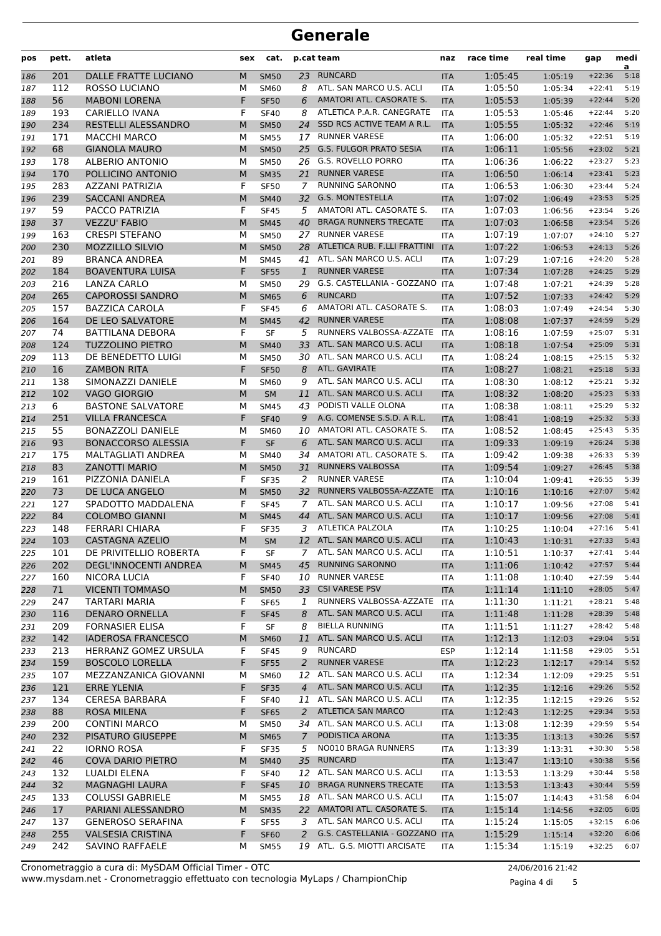| pos        | pett.           | atleta                                          | sex    | cat.                       |                | p.cat team                                          | naz                      | race time          | real time          | gap                  | medi<br>a    |
|------------|-----------------|-------------------------------------------------|--------|----------------------------|----------------|-----------------------------------------------------|--------------------------|--------------------|--------------------|----------------------|--------------|
| 186        | 201             | DALLE FRATTE LUCIANO                            | M      | <b>SM50</b>                | 23             | <b>RUNCARD</b>                                      | <b>ITA</b>               | 1:05:45            | 1:05:19            | $+22:36$             | 5:18         |
| 187        | 112             | ROSSO LUCIANO                                   | М      | SM60                       | 8              | ATL. SAN MARCO U.S. ACLI                            | <b>ITA</b>               | 1:05:50            | 1:05:34            | $+22:41$             | 5:19         |
| 188        | 56              | <b>MABONI LORENA</b>                            | F      | <b>SF50</b>                | 6              | AMATORI ATL. CASORATE S.                            | <b>ITA</b>               | 1:05:53            | 1:05:39            | $+22:44$             | 5:20         |
| 189        | 193             | CARIELLO IVANA                                  | F      | <b>SF40</b>                | 8              | ATLETICA P.A.R. CANEGRATE                           | <b>ITA</b>               | 1:05:53            | 1:05:46            | $+22:44$             | 5:20         |
| 190        | 234             | RESTELLI ALESSANDRO                             | M      | <b>SM50</b>                | 24             | SSD RCS ACTIVE TEAM A R.L.                          | <b>ITA</b>               | 1:05:55            | 1:05:32            | $+22:46$             | 5:19         |
| 191        | 171             | <b>MACCHI MARCO</b>                             | М      | <b>SM55</b>                | 17             | <b>RUNNER VARESE</b>                                | <b>ITA</b>               | 1:06:00            | 1:05:32            | $+22:51$             | 5:19         |
| 192        | 68              | <b>GIANOLA MAURO</b>                            | M      | <b>SM50</b>                | 25             | <b>G.S. FULGOR PRATO SESIA</b>                      | <b>ITA</b>               | 1:06:11            | 1:05:56            | $+23:02$             | 5:21         |
| 193        | 178             | <b>ALBERIO ANTONIO</b>                          | М      | <b>SM50</b>                | 26             | <b>G.S. ROVELLO PORRO</b>                           | <b>ITA</b>               | 1:06:36            | 1:06:22            | $+23:27$             | 5:23         |
| 194        | 170             | POLLICINO ANTONIO                               | M      | <b>SM35</b>                | 21             | <b>RUNNER VARESE</b>                                | <b>ITA</b>               | 1:06:50            | 1:06:14            | $+23:41$             | 5:23         |
| 195        | 283             | <b>AZZANI PATRIZIA</b>                          | F      | <b>SF50</b>                | 7              | <b>RUNNING SARONNO</b>                              | <b>ITA</b>               | 1:06:53            | 1:06:30            | $+23:44$             | 5:24         |
| 196        | 239             | <b>SACCANI ANDREA</b>                           | M      | <b>SM40</b>                | 32             | <b>G.S. MONTESTELLA</b>                             | <b>ITA</b>               | 1:07:02            | 1:06:49            | $+23:53$             | 5:25         |
| 197        | 59              | PACCO PATRIZIA                                  | F      | <b>SF45</b>                | 5              | AMATORI ATL. CASORATE S.                            | <b>ITA</b>               | 1:07:03            | 1:06:56            | $+23:54$             | 5:26         |
| 198        | 37              | <b>VEZZU' FABIO</b>                             | M      | <b>SM45</b>                | 40             | <b>BRAGA RUNNERS TRECATE</b><br>27 RUNNER VARESE    | <b>ITA</b>               | 1:07:03            | 1:06:58            | $+23:54$             | 5:26         |
| 199        | 163<br>230      | <b>CRESPI STEFANO</b>                           | М      | <b>SM50</b>                |                | ATLETICA RUB. F.LLI FRATTINI                        | <b>ITA</b>               | 1:07:19            | 1:07:07            | $+24:10$             | 5:27         |
| 200        | 89              | <b>MOZZILLO SILVIO</b><br><b>BRANCA ANDREA</b>  | M<br>М | <b>SM50</b>                | 28<br>41       | ATL. SAN MARCO U.S. ACLI                            | <b>ITA</b>               | 1:07:22<br>1:07:29 | 1:06:53            | $+24:13$<br>$+24:20$ | 5:26<br>5:28 |
| 201        | 184             | <b>BOAVENTURA LUISA</b>                         | F      | <b>SM45</b><br><b>SF55</b> | $\mathbf{1}$   | <b>RUNNER VARESE</b>                                | <b>ITA</b><br><b>ITA</b> | 1:07:34            | 1:07:16            | $+24:25$             | 5:29         |
| 202<br>203 | 216             | LANZA CARLO                                     | М      | <b>SM50</b>                |                | 29 G.S. CASTELLANIA - GOZZANO ITA                   |                          | 1:07:48            | 1:07:28<br>1:07:21 | $+24:39$             | 5:28         |
| 204        | 265             | <b>CAPOROSSI SANDRO</b>                         | M      | <b>SM65</b>                | 6              | <b>RUNCARD</b>                                      | <b>ITA</b>               | 1:07:52            | 1:07:33            | $+24:42$             | 5:29         |
| 205        | 157             | <b>BAZZICA CAROLA</b>                           | F      | <b>SF45</b>                | 6              | AMATORI ATL. CASORATE S.                            | ITA                      | 1:08:03            | 1:07:49            | $+24:54$             | 5:30         |
| 206        | 164             | DE LEO SALVATORE                                | M      | <b>SM45</b>                | 42             | <b>RUNNER VARESE</b>                                | <b>ITA</b>               | 1:08:08            | 1:07:37            | $+24:59$             | 5:29         |
| 207        | 74              | <b>BATTILANA DEBORA</b>                         | F      | <b>SF</b>                  | 5              | RUNNERS VALBOSSA-AZZATE                             | <b>ITA</b>               | 1:08:16            | 1:07:59            | $+25:07$             | 5:31         |
| 208        | 124             | <b>TUZZOLINO PIETRO</b>                         | M      | <b>SM40</b>                | 33             | ATL. SAN MARCO U.S. ACLI                            | <b>ITA</b>               | 1:08:18            | 1:07:54            | $+25:09$             | 5:31         |
| 209        | 113             | DE BENEDETTO LUIGI                              | М      | <b>SM50</b>                |                | 30 ATL. SAN MARCO U.S. ACLI                         | <b>ITA</b>               | 1:08:24            | 1:08:15            | $+25:15$             | 5:32         |
| 210        | 16              | <b>ZAMBON RITA</b>                              | F      | <b>SF50</b>                | 8              | ATL. GAVIRATE                                       | <b>ITA</b>               | 1:08:27            | 1:08:21            | $+25:18$             | 5:33         |
| 211        | 138             | SIMONAZZI DANIELE                               | М      | <b>SM60</b>                | 9              | ATL. SAN MARCO U.S. ACLI                            | ITA                      | 1:08:30            | 1:08:12            | $+25:21$             | 5:32         |
| 212        | 102             | <b>VAGO GIORGIO</b>                             | M      | <b>SM</b>                  | 11             | ATL. SAN MARCO U.S. ACLI                            | <b>ITA</b>               | 1:08:32            | 1:08:20            | $+25:23$             | 5:33         |
| 213        | 6               | <b>BASTONE SALVATORE</b>                        | М      | SM45                       | 43             | PODISTI VALLE OLONA                                 | <b>ITA</b>               | 1:08:38            | 1:08:11            | $+25:29$             | 5:32         |
| 214        | 251             | <b>VILLA FRANCESCA</b>                          | F      | <b>SF40</b>                | 9              | A.G. COMENSE S.S.D. A R.L.                          | <b>ITA</b>               | 1:08:41            | 1:08:19            | $+25:32$             | 5:33         |
| 215        | 55              | <b>BONAZZOLI DANIELE</b>                        | М      | SM60                       | 10             | AMATORI ATL. CASORATE S.                            | <b>ITA</b>               | 1:08:52            | 1:08:45            | $+25:43$             | 5:35         |
| 216        | 93              | <b>BONACCORSO ALESSIA</b>                       | F      | <b>SF</b>                  | 6              | ATL. SAN MARCO U.S. ACLI                            | <b>ITA</b>               | 1:09:33            | 1:09:19            | $+26:24$             | 5:38         |
| 217        | 175             | <b>MALTAGLIATI ANDREA</b>                       | М      | <b>SM40</b>                | 34             | AMATORI ATL. CASORATE S.                            | ITA                      | 1:09:42            | 1:09:38            | $+26:33$             | 5:39         |
| 218        | 83              | <b>ZANOTTI MARIO</b>                            | M      | <b>SM50</b>                | 31             | <b>RUNNERS VALBOSSA</b>                             | <b>ITA</b>               | 1:09:54            | 1:09:27            | $+26:45$             | 5:38         |
| 219        | 161             | PIZZONIA DANIELA                                | F      | <b>SF35</b>                | 2              | <b>RUNNER VARESE</b>                                | <b>ITA</b>               | 1:10:04            | 1:09:41            | $+26:55$             | 5:39         |
| 220        | 73              | DE LUCA ANGELO                                  | M      | <b>SM50</b>                | 32             | RUNNERS VALBOSSA-AZZATE                             | <b>ITA</b>               | 1:10:16            | 1:10:16            | $+27:07$             | 5:42         |
| 221        | 127             | SPADOTTO MADDALENA                              | F      | <b>SF45</b>                | 7              | ATL. SAN MARCO U.S. ACLI                            | <b>ITA</b>               | 1:10:17            | 1:09:56            | $+27:08$             | 5:41         |
| 222        | 84              | <b>COLOMBO GIANNI</b>                           | M      | <b>SM45</b>                | 44             | ATL. SAN MARCO U.S. ACLI                            | <b>ITA</b>               | 1:10:17            | 1:09:56            | $+27:08$             | 5:41         |
| 223        | 148             | <b>FERRARI CHIARA</b>                           | F      | <b>SF35</b>                | 3              | ATLETICA PALZOLA                                    | ITA                      | 1:10:25            | 1:10:04            | $+27:16$             | 5:41         |
| 224        | 103             | <b>CASTAGNA AZELIO</b>                          | M      | <b>SM</b>                  |                | 12 ATL. SAN MARCO U.S. ACLI                         | <b>ITA</b>               | 1:10:43            | 1:10:31            | $+27:33$             | 5:43         |
| 225        | 101             | DE PRIVITELLIO ROBERTA                          | F      | SF                         | 7              | ATL. SAN MARCO U.S. ACLI                            | ITA                      | 1:10:51            | 1:10:37            | $+27:41$             | 5:44         |
| 226        | 202             | DEGL'INNOCENTI ANDREA                           | М      | <b>SM45</b>                | 45             | <b>RUNNING SARONNO</b>                              | <b>ITA</b>               | 1:11:06            | 1:10:42            | $+27:57$             | 5:44         |
| 227        | 160             | NICORA LUCIA                                    | F      | <b>SF40</b>                |                | 10 RUNNER VARESE                                    | <b>ITA</b>               | 1:11:08            | 1:10:40            | $+27:59$             | 5:44         |
| 228        | 71              | <b>VICENTI TOMMASO</b>                          | M      | <b>SM50</b>                |                | 33 CSI VARESE PSV                                   | <b>ITA</b>               | 1:11:14            | 1:11:10            | $+28:05$             | 5:47         |
| 229        | 247             | <b>TARTARI MARIA</b>                            | F      | <b>SF65</b>                | 1              | RUNNERS VALBOSSA-AZZATE<br>ATL. SAN MARCO U.S. ACLI | ITA                      | 1:11:30            | 1:11:21            | $+28:21$             | 5:48         |
| 230        | 116<br>209      | <b>DENARO ORNELLA</b><br><b>FORNASIER ELISA</b> | F<br>F | <b>SF45</b><br>SF          | 8<br>8         | <b>BIELLA RUNNING</b>                               | <b>ITA</b>               | 1:11:48<br>1:11:51 | 1:11:28            | $+28:39$<br>$+28:42$ | 5:48         |
| 231<br>232 | 142             | <b>IADEROSA FRANCESCO</b>                       | M      | <b>SM60</b>                | 11             | ATL. SAN MARCO U.S. ACLI                            | <b>ITA</b><br><b>ITA</b> | 1:12:13            | 1:11:27<br>1:12:03 | $+29:04$             | 5:48<br>5:51 |
| 233        | 213             | HERRANZ GOMEZ URSULA                            | F      | <b>SF45</b>                | 9              | <b>RUNCARD</b>                                      | <b>ESP</b>               | 1:12:14            | 1:11:58            | $+29:05$             | 5:51         |
| 234        | 159             | <b>BOSCOLO LORELLA</b>                          | F      | <b>SF55</b>                | $\overline{a}$ | <b>RUNNER VARESE</b>                                | <b>ITA</b>               | 1:12:23            | 1:12:17            | $+29:14$             | 5:52         |
| 235        | 107             | MEZZANZANICA GIOVANNI                           | М      | SM60                       |                | 12 ATL. SAN MARCO U.S. ACLI                         | ITA                      | 1:12:34            | 1:12:09            | $+29:25$             | 5:51         |
| 236        | 121             | <b>ERRE YLENIA</b>                              | F      | <b>SF35</b>                | $\overline{4}$ | ATL. SAN MARCO U.S. ACLI                            | <b>ITA</b>               | 1:12:35            | 1:12:16            | $+29:26$             | 5:52         |
| 237        | 134             | <b>CERESA BARBARA</b>                           | F      | <b>SF40</b>                | 11             | ATL. SAN MARCO U.S. ACLI                            | ITA                      | 1:12:35            | 1:12:15            | $+29:26$             | 5:52         |
| 238        | 88              | <b>ROSA MILENA</b>                              | F      | <b>SF65</b>                | 2              | <b>ATLETICA SAN MARCO</b>                           | <b>ITA</b>               | 1:12:43            | 1:12:25            | $+29:34$             | 5:53         |
| 239        | 200             | <b>CONTINI MARCO</b>                            | М      | SM50                       |                | 34 ATL. SAN MARCO U.S. ACLI                         | <b>ITA</b>               | 1:13:08            | 1:12:39            | $+29:59$             | 5:54         |
| 240        | 232             | PISATURO GIUSEPPE                               | M      | <b>SM65</b>                | $7^{\circ}$    | PODISTICA ARONA                                     | <b>ITA</b>               | 1:13:35            | 1:13:13            | $+30:26$             | 5:57         |
| 241        | 22              | <b>IORNO ROSA</b>                               | F      | <b>SF35</b>                | 5              | NO010 BRAGA RUNNERS                                 | <b>ITA</b>               | 1:13:39            | 1:13:31            | $+30:30$             | 5:58         |
| 242        | 46              | <b>COVA DARIO PIETRO</b>                        | М      | <b>SM40</b>                | 35             | <b>RUNCARD</b>                                      | <b>ITA</b>               | 1:13:47            | 1:13:10            | $+30:38$             | 5:56         |
| 243        | 132             | LUALDI ELENA                                    | F      | <b>SF40</b>                |                | 12 ATL. SAN MARCO U.S. ACLI                         | ITA                      | 1:13:53            | 1:13:29            | $+30:44$             | 5:58         |
| 244        | 32 <sup>2</sup> | <b>MAGNAGHI LAURA</b>                           | F      | <b>SF45</b>                |                | 10 BRAGA RUNNERS TRECATE                            | <b>ITA</b>               | 1:13:53            | 1:13:43            | $+30:44$             | 5:59         |
| 245        | 133             | <b>COLUSSI GABRIELE</b>                         | М      | <b>SM55</b>                |                | 18 ATL. SAN MARCO U.S. ACLI                         | <b>ITA</b>               | 1:15:07            | 1:14:43            | $+31:58$             | 6:04         |
| 246        | 17              | PARIANI ALESSANDRO                              | M      | <b>SM35</b>                |                | 22 AMATORI ATL. CASORATE S.                         | <b>ITA</b>               | 1:15:14            | 1:14:56            | $+32:05$             | 6:05         |
| 247        | 137             | <b>GENEROSO SERAFINA</b>                        | F      | <b>SF55</b>                |                | 3 ATL. SAN MARCO U.S. ACLI                          | <b>ITA</b>               | 1:15:24            | 1:15:05            | $+32:15$             | 6:06         |
| 248        | 255             | <b>VALSESIA CRISTINA</b>                        | F      | <b>SF60</b>                | 2              | G.S. CASTELLANIA - GOZZANO ITA                      |                          | 1:15:29            | 1:15:14            | $+32:20$             | 6:06         |
| 249        | 242             | SAVINO RAFFAELE                                 | М      | <b>SM55</b>                |                | 19 ATL. G.S. MIOTTI ARCISATE                        | ITA                      | 1:15:34            | 1:15:19            | $+32:25$             | 6:07         |

www.mysdam.net - Cronometraggio effettuato con tecnologia MyLaps / ChampionChip Cronometraggio a cura di: MySDAM Official Timer - OTC 24/06/2016 21:42

Pagina 4 di 5